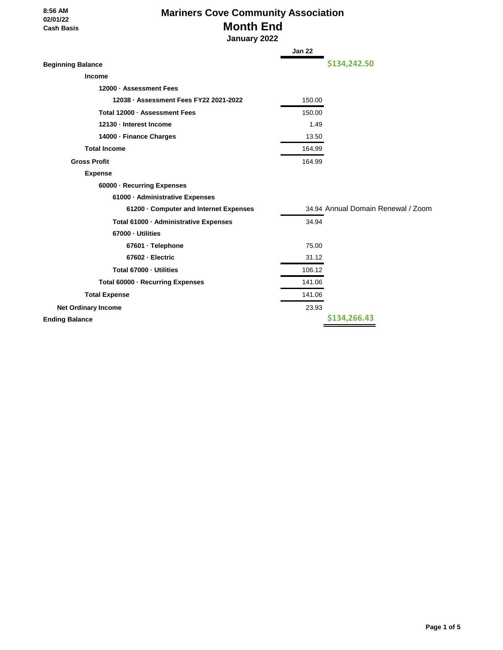#### **8:56 AM 02/01/22 Cash Basis**

# **Mariners Cove Community Association Month End**

 **January 2022**

|                                        | Jan 22 |                                    |
|----------------------------------------|--------|------------------------------------|
| <b>Beginning Balance</b>               |        | \$134,242.50                       |
| Income                                 |        |                                    |
| 12000 · Assessment Fees                |        |                                    |
| 12038 · Assessment Fees FY22 2021-2022 | 150.00 |                                    |
| Total 12000 · Assessment Fees          | 150.00 |                                    |
| 12130 - Interest Income                | 1.49   |                                    |
| 14000 · Finance Charges                | 13.50  |                                    |
| <b>Total Income</b>                    | 164.99 |                                    |
| <b>Gross Profit</b>                    | 164.99 |                                    |
| <b>Expense</b>                         |        |                                    |
| 60000 · Recurring Expenses             |        |                                    |
| 61000 - Administrative Expenses        |        |                                    |
| 61200 Gomputer and Internet Expenses   |        | 34.94 Annual Domain Renewal / Zoom |
| Total 61000 · Administrative Expenses  | 34.94  |                                    |
| 67000 - Utilities                      |        |                                    |
| 67601 · Telephone                      | 75.00  |                                    |
| 67602 - Electric                       | 31.12  |                                    |
| Total 67000 - Utilities                | 106.12 |                                    |
| Total 60000 · Recurring Expenses       | 141.06 |                                    |
| <b>Total Expense</b>                   | 141.06 |                                    |
| <b>Net Ordinary Income</b>             | 23.93  |                                    |
| <b>Ending Balance</b>                  |        | \$134,266.43                       |
|                                        |        |                                    |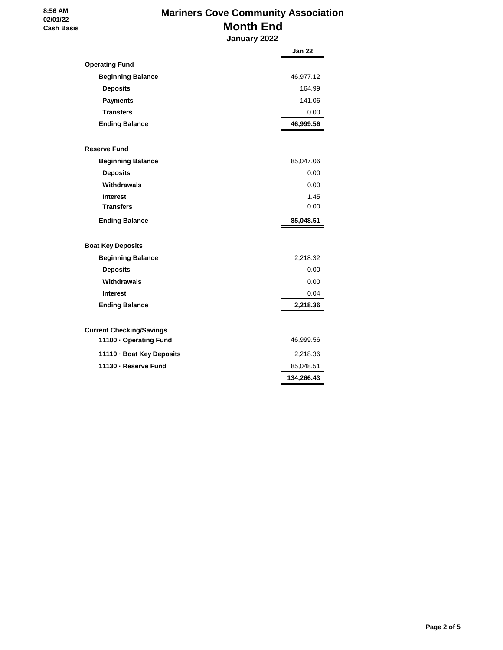#### **8:56 AM 02/01/22 Cash Basis**

## **Mariners Cove Community Association Month End**

|                                 | January 2022 |
|---------------------------------|--------------|
|                                 | Jan 22       |
| <b>Operating Fund</b>           |              |
| <b>Beginning Balance</b>        | 46,977.12    |
| <b>Deposits</b>                 | 164.99       |
| <b>Payments</b>                 | 141.06       |
| <b>Transfers</b>                | 0.00         |
| <b>Ending Balance</b>           | 46,999.56    |
| <b>Reserve Fund</b>             |              |
| <b>Beginning Balance</b>        | 85,047.06    |
| <b>Deposits</b>                 | 0.00         |
| <b>Withdrawals</b>              | 0.00         |
| <b>Interest</b>                 | 1.45         |
| <b>Transfers</b>                | 0.00         |
| <b>Ending Balance</b>           | 85,048.51    |
| <b>Boat Key Deposits</b>        |              |
| <b>Beginning Balance</b>        | 2,218.32     |
| <b>Deposits</b>                 | 0.00         |
| Withdrawals                     | 0.00         |
| <b>Interest</b>                 | 0.04         |
| <b>Ending Balance</b>           | 2,218.36     |
| <b>Current Checking/Savings</b> |              |
| 11100 · Operating Fund          | 46,999.56    |
| 11110 · Boat Key Deposits       | 2,218.36     |
| 11130 - Reserve Fund            | 85,048.51    |
|                                 | 134,266.43   |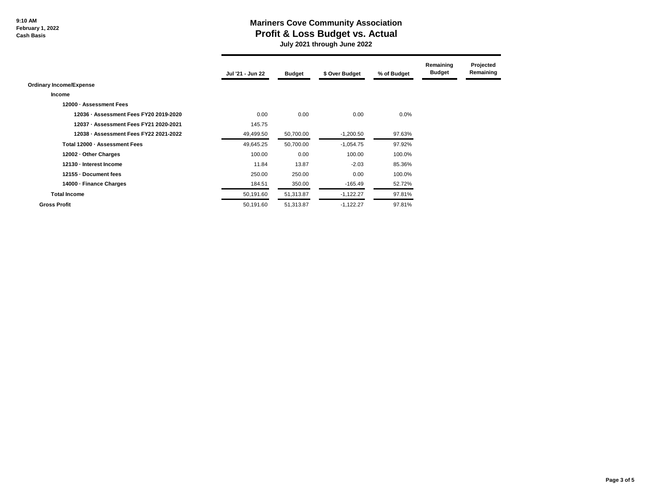**9:10 AM February 1, 2022 Cash Basis**

### **Mariners Cove Community Association Profit & Loss Budget vs. Actual**

 **July 2021 through June 2022**

|                                        | Jul '21 - Jun 22 | <b>Budget</b> | \$ Over Budget | % of Budget | Remaining<br><b>Budget</b> | Projected<br>Remaining |
|----------------------------------------|------------------|---------------|----------------|-------------|----------------------------|------------------------|
| <b>Ordinary Income/Expense</b>         |                  |               |                |             |                            |                        |
| <b>Income</b>                          |                  |               |                |             |                            |                        |
| 12000 - Assessment Fees                |                  |               |                |             |                            |                        |
| 12036 - Assessment Fees FY20 2019-2020 | 0.00             | 0.00          | 0.00           | 0.0%        |                            |                        |
| 12037 - Assessment Fees FY21 2020-2021 | 145.75           |               |                |             |                            |                        |
| 12038 - Assessment Fees FY22 2021-2022 | 49,499.50        | 50,700.00     | $-1,200.50$    | 97.63%      |                            |                        |
| Total 12000 - Assessment Fees          | 49,645.25        | 50,700.00     | $-1,054.75$    | 97.92%      |                            |                        |
| 12002 - Other Charges                  | 100.00           | 0.00          | 100.00         | 100.0%      |                            |                        |
| 12130 - Interest Income                | 11.84            | 13.87         | $-2.03$        | 85.36%      |                            |                        |
| 12155 - Document fees                  | 250.00           | 250.00        | 0.00           | 100.0%      |                            |                        |
| 14000 - Finance Charges                | 184.51           | 350.00        | $-165.49$      | 52.72%      |                            |                        |
| <b>Total Income</b>                    | 50,191.60        | 51,313.87     | $-1,122.27$    | 97.81%      |                            |                        |
| <b>Gross Profit</b>                    | 50,191.60        | 51,313.87     | $-1,122.27$    | 97.81%      |                            |                        |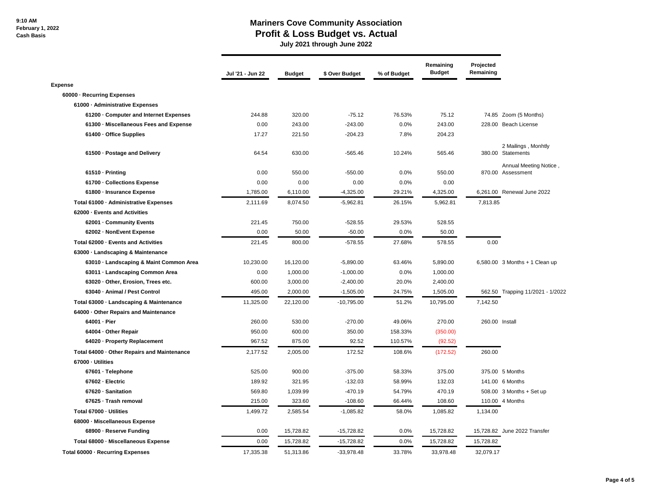### **Mariners Cove Community Association Profit & Loss Budget vs. Actual**

 **July 2021 through June 2022**

|                                             | Jul '21 - Jun 22 | <b>Budget</b> | \$ Over Budget | % of Budget | Remaining<br><b>Budget</b> | Projected<br>Remaining |                                             |
|---------------------------------------------|------------------|---------------|----------------|-------------|----------------------------|------------------------|---------------------------------------------|
| <b>Expense</b>                              |                  |               |                |             |                            |                        |                                             |
| 60000 - Recurring Expenses                  |                  |               |                |             |                            |                        |                                             |
| 61000 - Administrative Expenses             |                  |               |                |             |                            |                        |                                             |
| 61200 - Computer and Internet Expenses      | 244.88           | 320.00        | $-75.12$       | 76.53%      | 75.12                      |                        | 74.85 Zoom (5 Months)                       |
| 61300 - Miscellaneous Fees and Expense      | 0.00             | 243.00        | $-243.00$      | 0.0%        | 243.00                     |                        | 228.00 Beach License                        |
| 61400 - Office Supplies                     | 17.27            | 221.50        | $-204.23$      | 7.8%        | 204.23                     |                        |                                             |
| 61500 - Postage and Delivery                | 64.54            | 630.00        | $-565.46$      | 10.24%      | 565.46                     |                        | 2 Mailings, Monhtly<br>380.00 Statements    |
| 61510 - Printing                            | 0.00             | 550.00        | $-550.00$      | 0.0%        | 550.00                     |                        | Annual Meeting Notice,<br>870.00 Assessment |
| 61700 - Collections Expense                 | 0.00             | 0.00          | 0.00           | 0.0%        | 0.00                       |                        |                                             |
| 61800 - Insurance Expense                   | 1,785.00         | 6,110.00      | $-4,325.00$    | 29.21%      | 4,325.00                   |                        | 6,261.00 Renewal June 2022                  |
| Total 61000 - Administrative Expenses       | 2,111.69         | 8,074.50      | $-5,962.81$    | 26.15%      | 5,962.81                   | 7,813.85               |                                             |
| 62000 - Events and Activities               |                  |               |                |             |                            |                        |                                             |
| 62001 - Community Events                    | 221.45           | 750.00        | $-528.55$      | 29.53%      | 528.55                     |                        |                                             |
| 62002 - NonEvent Expense                    | 0.00             | 50.00         | $-50.00$       | 0.0%        | 50.00                      |                        |                                             |
| Total 62000 - Events and Activities         | 221.45           | 800.00        | $-578.55$      | 27.68%      | 578.55                     | 0.00                   |                                             |
| 63000 · Landscaping & Maintenance           |                  |               |                |             |                            |                        |                                             |
| 63010 · Landscaping & Maint Common Area     | 10,230.00        | 16,120.00     | $-5,890.00$    | 63.46%      | 5,890.00                   |                        | 6,580.00 3 Months + 1 Clean up              |
| 63011 - Landscaping Common Area             | 0.00             | 1,000.00      | $-1,000.00$    | 0.0%        | 1,000.00                   |                        |                                             |
| 63020 Other, Erosion, Trees etc.            | 600.00           | 3,000.00      | $-2,400.00$    | 20.0%       | 2,400.00                   |                        |                                             |
| 63040 - Animal / Pest Control               | 495.00           | 2,000.00      | $-1,505.00$    | 24.75%      | 1,505.00                   |                        | 562.50 Trapping 11/2021 - 1/2022            |
| Total 63000 - Landscaping & Maintenance     | 11,325.00        | 22,120.00     | $-10,795.00$   | 51.2%       | 10,795.00                  | 7,142.50               |                                             |
| 64000 Other Repairs and Maintenance         |                  |               |                |             |                            |                        |                                             |
| 64001 - Pier                                | 260.00           | 530.00        | $-270.00$      | 49.06%      | 270.00                     | 260.00 Install         |                                             |
| 64004 - Other Repair                        | 950.00           | 600.00        | 350.00         | 158.33%     | (350.00)                   |                        |                                             |
| 64020 - Property Replacement                | 967.52           | 875.00        | 92.52          | 110.57%     | (92.52)                    |                        |                                             |
| Total 64000 - Other Repairs and Maintenance | 2,177.52         | 2,005.00      | 172.52         | 108.6%      | (172.52)                   | 260.00                 |                                             |
| 67000 - Utilities                           |                  |               |                |             |                            |                        |                                             |
| 67601 · Telephone                           | 525.00           | 900.00        | $-375.00$      | 58.33%      | 375.00                     |                        | 375.00 5 Months                             |
| 67602 Electric                              | 189.92           | 321.95        | $-132.03$      | 58.99%      | 132.03                     |                        | 141.00 6 Months                             |
| 67620 - Sanitation                          | 569.80           | 1,039.99      | $-470.19$      | 54.79%      | 470.19                     |                        | 508.00 3 Months + Set up                    |
| 67625 - Trash removal                       | 215.00           | 323.60        | $-108.60$      | 66.44%      | 108.60                     |                        | 110.00 4 Months                             |
| Total 67000 - Utilities                     | 1,499.72         | 2,585.54      | $-1,085.82$    | 58.0%       | 1,085.82                   | 1,134.00               |                                             |
| 68000 - Miscellaneous Expense               |                  |               |                |             |                            |                        |                                             |
| 68900 - Reserve Funding                     | 0.00             | 15,728.82     | $-15,728.82$   | 0.0%        | 15,728.82                  |                        | 15,728.82 June 2022 Transfer                |
| Total 68000 - Miscellaneous Expense         | 0.00             | 15,728.82     | $-15,728.82$   | 0.0%        | 15,728.82                  | 15,728.82              |                                             |
| Total 60000 - Recurring Expenses            | 17,335.38        | 51,313.86     | $-33.978.48$   | 33.78%      | 33.978.48                  | 32.079.17              |                                             |